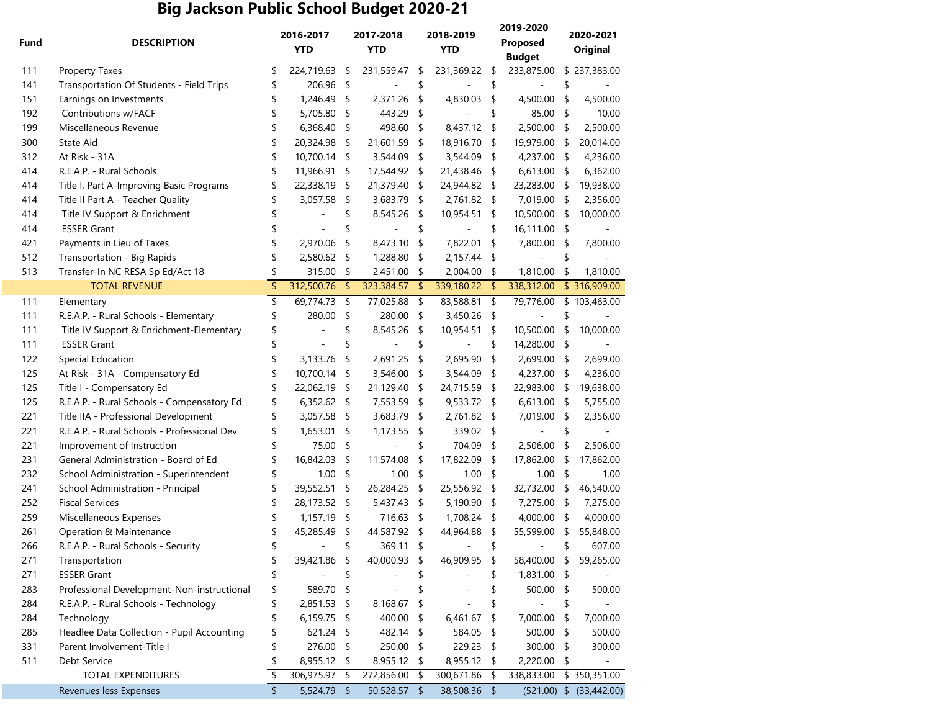## **Big Jackson Public School Budget 2020-21**

| Fund | <b>DESCRIPTION</b>                           |    | 2016-2017<br><b>YTD</b> |      | 2017-2018<br><b>YTD</b> |            | 2018-2019<br><b>YTD</b> |      | 2019-2020<br>Proposed<br><b>Budget</b> |    | 2020-2021<br><b>Original</b> |  |
|------|----------------------------------------------|----|-------------------------|------|-------------------------|------------|-------------------------|------|----------------------------------------|----|------------------------------|--|
|      |                                              |    |                         |      |                         |            |                         |      |                                        |    |                              |  |
| 111  | <b>Property Taxes</b>                        | \$ | 224,719.63              | -\$  | 231,559.47              | \$         | 231,369.22              | - \$ | 233,875.00                             |    | \$237,383.00                 |  |
| 141  | Transportation Of Students - Field Trips     | \$ | 206.96                  | - \$ |                         | \$         |                         | \$   |                                        | \$ |                              |  |
| 151  | Earnings on Investments                      | \$ | 1,246.49                | - \$ | 2,371.26                | \$         | 4,830.03                | \$   | 4,500.00                               | \$ | 4,500.00                     |  |
| 192  | Contributions w/FACF                         | \$ | 5,705.80                | \$   | 443.29                  | \$         |                         | \$   | 85.00                                  | \$ | 10.00                        |  |
| 199  | Miscellaneous Revenue                        | \$ | 6,368.40                | \$   | 498.60                  | \$         | 8,437.12                | \$   | 2,500.00                               | \$ | 2,500.00                     |  |
| 300  | State Aid                                    | \$ | 20,324.98               | \$   | 21,601.59               | \$         | 18,916.70               | \$   | 19,979.00                              | \$ | 20,014.00                    |  |
| 312  | At Risk - 31A                                | \$ | 10,700.14               | \$   | 3,544.09                | \$         | 3,544.09                | \$   | 4,237.00                               | \$ | 4,236.00                     |  |
| 414  | R.E.A.P. - Rural Schools                     | \$ | 11,966.91               | \$   | 17,544.92               | \$         | 21,438.46               | \$   | 6,613.00                               | \$ | 6,362.00                     |  |
| 414  | Title I, Part A-Improving Basic Programs     | \$ | 22,338.19               | \$   | 21,379.40               | \$         | 24,944.82               | \$   | 23,283.00                              | \$ | 19,938.00                    |  |
| 414  | Title II Part A - Teacher Quality            | \$ | 3,057.58                | \$   | 3,683.79                | \$         | 2,761.82                | \$   | 7,019.00                               | \$ | 2,356.00                     |  |
| 414  | Title IV Support & Enrichment                |    |                         | \$   | 8,545.26                | \$         | 10,954.51               | \$   | 10,500.00                              | \$ | 10,000.00                    |  |
| 414  | <b>ESSER Grant</b>                           |    |                         |      |                         | \$         |                         | \$   | 16,111.00                              | \$ |                              |  |
| 421  | Payments in Lieu of Taxes                    |    | 2,970.06                | \$   | 8,473.10                | \$         | 7,822.01                | \$   | 7,800.00                               | \$ | 7,800.00                     |  |
| 512  | Transportation - Big Rapids                  |    | 2,580.62                | \$   | 1,288.80                | \$         | 2,157.44                | \$   |                                        | \$ |                              |  |
| 513  | Transfer-In NC RESA Sp Ed/Act 18             |    | 315.00                  | \$   | 2,451.00                | \$         | 2,004.00                | \$   | 1,810.00                               | \$ | 1,810.00                     |  |
|      | <b>TOTAL REVENUE</b>                         | \$ | 312,500.76              | \$   | 323,384.57              | $\sqrt{2}$ | 339,180.22              | \$   | 338,312.00                             |    | \$316,909.00                 |  |
| 111  | Elementary                                   | \$ | 69,774.73               | \$   | 77,025.88               | \$         | 83,588.81               | \$   | 79,776.00                              |    | \$103,463.00                 |  |
| 111  | R.E.A.P. - Rural Schools - Elementary        | \$ | 280.00                  | \$   | 280.00                  | \$         | 3,450.26                | \$   |                                        |    |                              |  |
| 111  | Title IV Support & Enrichment-Elementary     |    |                         | \$   | 8,545.26                | \$         | 10,954.51               | \$   | 10,500.00                              | \$ | 10,000.00                    |  |
| 111  | <b>ESSER Grant</b>                           |    |                         |      |                         | \$         |                         | \$   | 14,280.00                              | \$ |                              |  |
| 122  | Special Education                            | \$ | 3,133.76                | \$   | 2,691.25                | \$         | 2,695.90                | \$   | 2,699.00                               | \$ | 2,699.00                     |  |
| 125  | At Risk - 31A - Compensatory Ed              |    | 10,700.14               | \$   | 3,546.00                | \$         | 3,544.09                | \$   | 4,237.00                               | \$ | 4,236.00                     |  |
| 125  | Title I - Compensatory Ed                    |    | 22,062.19               | \$   | 21,129.40               | \$         | 24,715.59               | \$   | 22,983.00                              | \$ | 19,638.00                    |  |
| 125  | R.E.A.P. - Rural Schools - Compensatory Ed   | \$ | 6,352.62                | -\$  | 7,553.59                | \$         | 9,533.72 \$             |      | 6,613.00                               | \$ | 5,755.00                     |  |
| 221  | Title IIA - Professional Development         | \$ | 3,057.58                | \$   | 3,683.79                | \$         | 2,761.82                | \$   | 7,019.00                               | \$ | 2,356.00                     |  |
| 221  | R.E.A.P. - Rural Schools - Professional Dev. | \$ | 1,653.01                | \$   | 1,173.55                | \$         | 339.02 \$               |      |                                        | \$ |                              |  |
| 221  | Improvement of Instruction                   | \$ | 75.00                   | \$   |                         | \$         | 704.09                  | \$   | 2,506.00                               | \$ | 2,506.00                     |  |
| 231  | General Administration - Board of Ed         |    | 16,842.03               | \$   | 11,574.08               | \$         | 17,822.09               | \$   | 17,862.00                              | \$ | 17,862.00                    |  |
| 232  | School Administration - Superintendent       | \$ | 1.00                    | \$   | 1.00                    | \$         | 1.00                    | \$   | 1.00                                   | \$ | 1.00                         |  |
| 241  | School Administration - Principal            | \$ | 39,552.51               | \$   | 26,284.25               | \$         | 25,556.92               | \$   | 32,732.00                              | \$ | 46,540.00                    |  |
| 252  | <b>Fiscal Services</b>                       | S  | 28,173.52               | -\$  | 5,437.43                | \$         | 5,190.90                | \$   | 7,275.00                               | \$ | 7,275.00                     |  |
| 259  | Miscellaneous Expenses                       | S  | 1,157.19                | S    | 716.63                  | \$         | 1,708.24                | \$   | 4,000.00                               | \$ | 4,000.00                     |  |
| 261  | Operation & Maintenance                      |    | 45,285.49               | \$   | 44,587.92               | \$         | 44,964.88               | \$   | 55,599.00                              | \$ | 55,848.00                    |  |
| 266  | R.E.A.P. - Rural Schools - Security          | \$ |                         | \$   | 369.11                  | \$         |                         | \$   |                                        | \$ | 607.00                       |  |
| 271  | Transportation                               | \$ | 39,421.86               | -\$  | 40,000.93               | \$         | 46,909.95               | \$   | 58,400.00                              | \$ | 59,265.00                    |  |
| 271  | <b>ESSER Grant</b>                           | \$ |                         | \$   |                         | \$         |                         | \$   | 1,831.00                               | S  |                              |  |
| 283  | Professional Development-Non-instructional   | \$ | 589.70 \$               |      |                         | \$         |                         | \$   | 500.00                                 | \$ | 500.00                       |  |
| 284  | R.E.A.P. - Rural Schools - Technology        | \$ | 2,851.53 \$             |      | 8,168.67                | \$         |                         | \$   |                                        | \$ |                              |  |
| 284  | Technology                                   | \$ | 6,159.75                | - \$ | 400.00                  | \$         | 6,461.67                | \$   | 7,000.00                               | \$ | 7,000.00                     |  |
| 285  | Headlee Data Collection - Pupil Accounting   |    | 621.24 \$               |      | 482.14                  | \$         | 584.05                  | \$   | 500.00                                 | \$ | 500.00                       |  |
| 331  | Parent Involvement-Title I                   | \$ | 276.00                  | -\$  | 250.00                  | \$         | 229.23                  | \$   | 300.00                                 | \$ | 300.00                       |  |
| 511  | Debt Service                                 | \$ | 8,955.12                | - \$ | 8,955.12                | \$         | 8,955.12                | \$   | 2,220.00                               | \$ |                              |  |
|      | TOTAL EXPENDITURES                           | \$ | 306,975.97              | \$   | 272,856.00              | \$         | 300,671.86              | \$   | 338,833.00                             |    | \$350,351.00                 |  |
|      | Revenues less Expenses                       | \$ | 5,524.79 \$             |      | 50,528.57               | - \$       | 38,508.36 \$            |      |                                        |    | $(521.00)$ \$ $(33,442.00)$  |  |